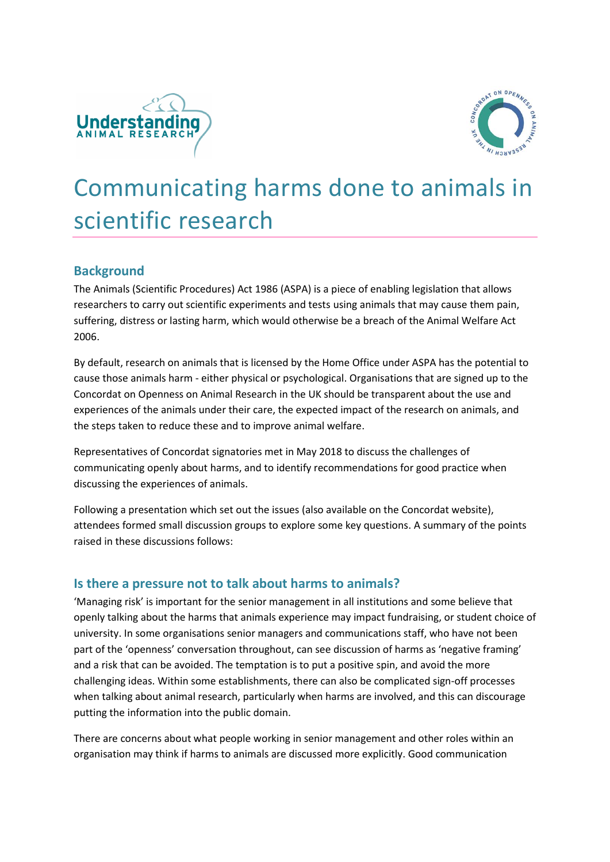



# Communicating harms done to animals in scientific research

### **Background**

The Animals (Scientific Procedures) Act 1986 (ASPA) is a piece of enabling legislation that allows researchers to carry out scientific experiments and tests using animals that may cause them pain, suffering, distress or lasting harm, which would otherwise be a breach of the Animal Welfare Act 2006.

By default, research on animals that is licensed by the Home Office under ASPA has the potential to cause those animals harm - either physical or psychological. Organisations that are signed up to the Concordat on Openness on Animal Research in the UK should be transparent about the use and experiences of the animals under their care, the expected impact of the research on animals, and the steps taken to reduce these and to improve animal welfare.

Representatives of Concordat signatories met in May 2018 to discuss the challenges of communicating openly about harms, and to identify recommendations for good practice when discussing the experiences of animals.

Following a presentation which set out the issues (also available on the Concordat website), attendees formed small discussion groups to explore some key questions. A summary of the points raised in these discussions follows:

#### **Is there a pressure not to talk about harms to animals?**

'Managing risk' is important for the senior management in all institutions and some believe that openly talking about the harms that animals experience may impact fundraising, or student choice of university. In some organisations senior managers and communications staff, who have not been part of the 'openness' conversation throughout, can see discussion of harms as 'negative framing' and a risk that can be avoided. The temptation is to put a positive spin, and avoid the more challenging ideas. Within some establishments, there can also be complicated sign-off processes when talking about animal research, particularly when harms are involved, and this can discourage putting the information into the public domain.

There are concerns about what people working in senior management and other roles within an organisation may think if harms to animals are discussed more explicitly. Good communication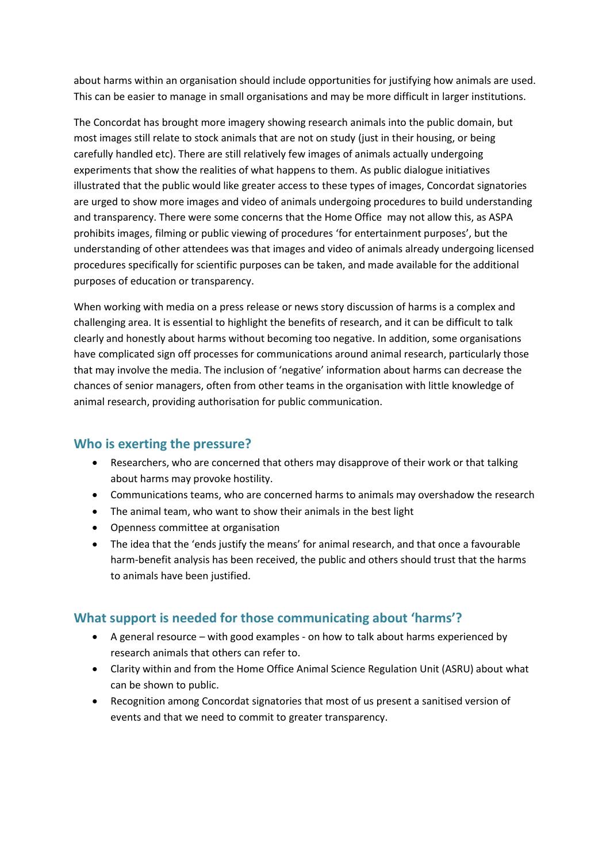about harms within an organisation should include opportunities for justifying how animals are used. This can be easier to manage in small organisations and may be more difficult in larger institutions.

The Concordat has brought more imagery showing research animals into the public domain, but most images still relate to stock animals that are not on study (just in their housing, or being carefully handled etc). There are still relatively few images of animals actually undergoing experiments that show the realities of what happens to them. As public dialogue initiatives illustrated that the public would like greater access to these types of images, Concordat signatories are urged to show more images and video of animals undergoing procedures to build understanding and transparency. There were some concerns that the Home Office may not allow this, as ASPA prohibits images, filming or public viewing of procedures 'for entertainment purposes', but the understanding of other attendees was that images and video of animals already undergoing licensed procedures specifically for scientific purposes can be taken, and made available for the additional purposes of education or transparency.

When working with media on a press release or news story discussion of harms is a complex and challenging area. It is essential to highlight the benefits of research, and it can be difficult to talk clearly and honestly about harms without becoming too negative. In addition, some organisations have complicated sign off processes for communications around animal research, particularly those that may involve the media. The inclusion of 'negative' information about harms can decrease the chances of senior managers, often from other teams in the organisation with little knowledge of animal research, providing authorisation for public communication.

### **Who is exerting the pressure?**

- Researchers, who are concerned that others may disapprove of their work or that talking about harms may provoke hostility.
- Communications teams, who are concerned harms to animals may overshadow the research
- The animal team, who want to show their animals in the best light
- Openness committee at organisation
- The idea that the 'ends justify the means' for animal research, and that once a favourable harm-benefit analysis has been received, the public and others should trust that the harms to animals have been justified.

### **What support is needed for those communicating about 'harms'?**

- A general resource with good examples on how to talk about harms experienced by research animals that others can refer to.
- Clarity within and from the Home Office Animal Science Regulation Unit (ASRU) about what can be shown to public.
- Recognition among Concordat signatories that most of us present a sanitised version of events and that we need to commit to greater transparency.